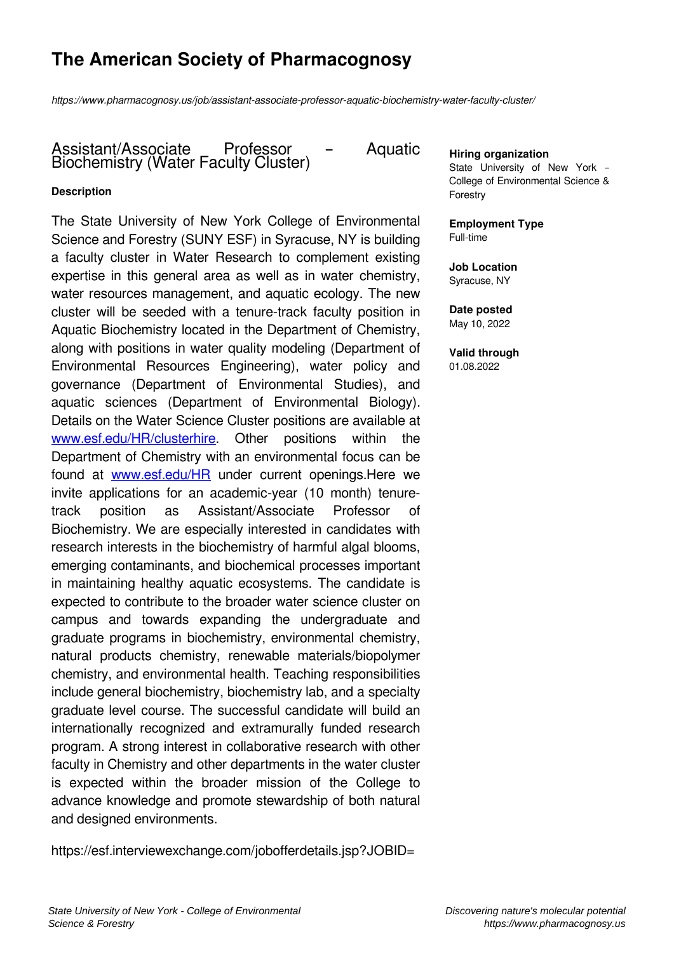# **The American Society of Pharmacognosy**

*https://www.pharmacognosy.us/job/assistant-associate-professor-aquatic-biochemistry-water-faculty-cluster/*

Assistant/Associate Professor – Aquatic Biochemistry (Water Faculty Cluster)

#### **Hiring organization**

State University of New York – College of Environmental Science & Forestry

**Employment Type** Full-time

**Job Location** Syracuse, NY

**Date posted** May 10, 2022

**Valid through** 01.08.2022

# **Description** The State University of New York College of Environmental Science and Forestry (SUNY ESF) in Syracuse, NY is building a faculty cluster in Water Research to complement existing

expertise in this general area as well as in water chemistry, water resources management, and aquatic ecology. The new cluster will be seeded with a tenure-track faculty position in Aquatic Biochemistry located in the Department of Chemistry, along with positions in water quality modeling (Department of Environmental Resources Engineering), water policy and governance (Department of Environmental Studies), and aquatic sciences (Department of Environmental Biology). Details on the Water Science Cluster positions are available at [www.esf.edu/HR/clusterhire.](http://www.esf.edu/HR/clusterhire) Other positions within the Department of Chemistry with an environmental focus can be found at **[www.esf.edu/HR](http://www.esf.edu/HR)** under current openings. Here we invite applications for an academic-year (10 month) tenuretrack position as Assistant/Associate Professor of Biochemistry. We are especially interested in candidates with research interests in the biochemistry of harmful algal blooms, emerging contaminants, and biochemical processes important in maintaining healthy aquatic ecosystems. The candidate is expected to contribute to the broader water science cluster on campus and towards expanding the undergraduate and graduate programs in biochemistry, environmental chemistry, natural products chemistry, renewable materials/biopolymer chemistry, and environmental health. Teaching responsibilities include general biochemistry, biochemistry lab, and a specialty graduate level course. The successful candidate will build an internationally recognized and extramurally funded research program. A strong interest in collaborative research with other faculty in Chemistry and other departments in the water cluster is expected within the broader mission of the College to advance knowledge and promote stewardship of both natural and designed environments.

https://esf.interviewexchange.com/jobofferdetails.jsp?JOBID=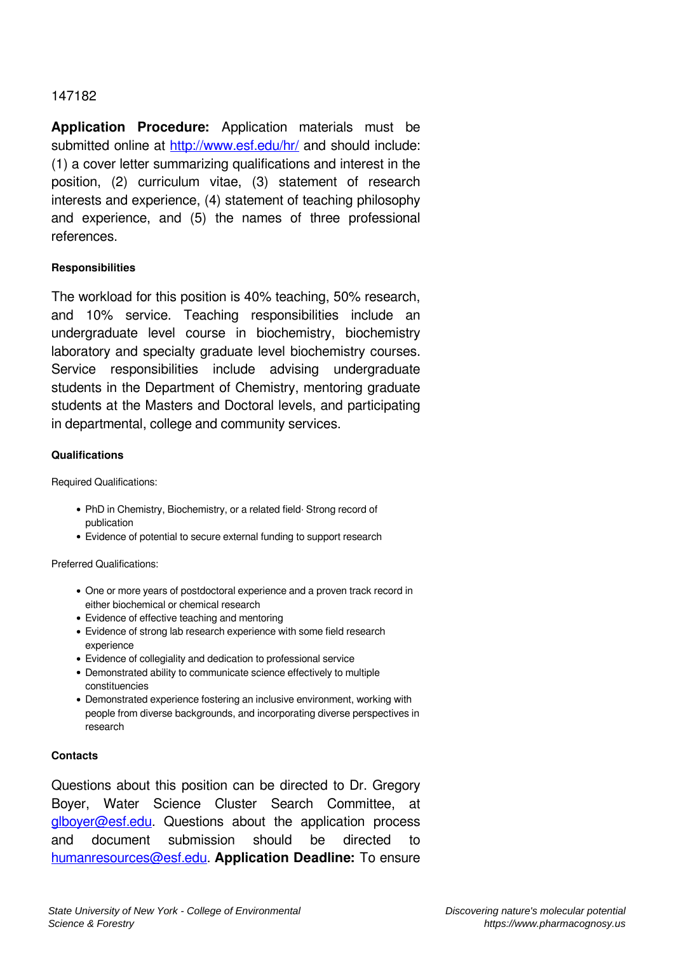## 147182

**Application Procedure:** Application materials must be submitted online at <http://www.esf.edu/hr/> and should include: (1) a cover letter summarizing qualifications and interest in the position, (2) curriculum vitae, (3) statement of research interests and experience, (4) statement of teaching philosophy and experience, and (5) the names of three professional references.

## **Responsibilities**

The workload for this position is 40% teaching, 50% research, and 10% service. Teaching responsibilities include an undergraduate level course in biochemistry, biochemistry laboratory and specialty graduate level biochemistry courses. Service responsibilities include advising undergraduate students in the Department of Chemistry, mentoring graduate students at the Masters and Doctoral levels, and participating in departmental, college and community services.

### **Qualifications**

Required Qualifications:

- PhD in Chemistry, Biochemistry, or a related field· Strong record of publication
- Evidence of potential to secure external funding to support research

Preferred Qualifications:

- One or more years of postdoctoral experience and a proven track record in either biochemical or chemical research
- Evidence of effective teaching and mentoring
- Evidence of strong lab research experience with some field research experience
- Evidence of collegiality and dedication to professional service
- Demonstrated ability to communicate science effectively to multiple constituencies
- Demonstrated experience fostering an inclusive environment, working with people from diverse backgrounds, and incorporating diverse perspectives in research

### **Contacts**

Questions about this position can be directed to Dr. Gregory Boyer, Water Science Cluster Search Committee, at [glboyer@esf.edu](mailto:glboyer@esf.edu). Questions about the application process and document submission should be directed to [humanresources@esf.edu.](mailto:humanresources@esf.edu) **Application Deadline:** To ensure